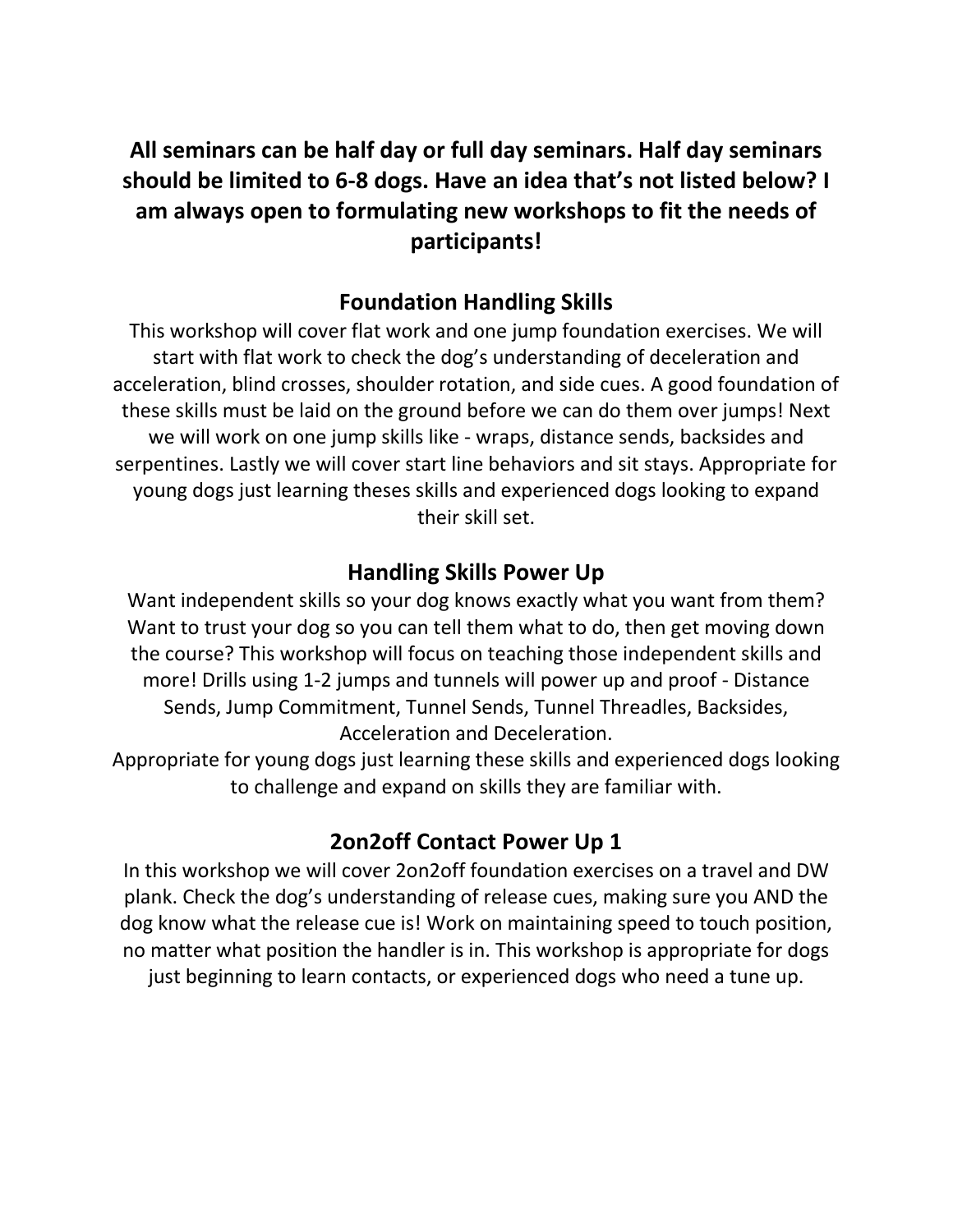**All seminars can be half day or full day seminars. Half day seminars should be limited to 6-8 dogs. Have an idea that's not listed below? I am always open to formulating new workshops to fit the needs of participants!**

## **Foundation Handling Skills**

This workshop will cover flat work and one jump foundation exercises. We will start with flat work to check the dog's understanding of deceleration and acceleration, blind crosses, shoulder rotation, and side cues. A good foundation of these skills must be laid on the ground before we can do them over jumps! Next we will work on one jump skills like - wraps, distance sends, backsides and serpentines. Lastly we will cover start line behaviors and sit stays. Appropriate for young dogs just learning theses skills and experienced dogs looking to expand their skill set.

# **Handling Skills Power Up**

Want independent skills so your dog knows exactly what you want from them? Want to trust your dog so you can tell them what to do, then get moving down the course? This workshop will focus on teaching those independent skills and more! Drills using 1-2 jumps and tunnels will power up and proof - Distance Sends, Jump Commitment, Tunnel Sends, Tunnel Threadles, Backsides, Acceleration and Deceleration.

Appropriate for young dogs just learning these skills and experienced dogs looking to challenge and expand on skills they are familiar with.

# **2on2off Contact Power Up 1**

In this workshop we will cover 2on2off foundation exercises on a travel and DW plank. Check the dog's understanding of release cues, making sure you AND the dog know what the release cue is! Work on maintaining speed to touch position, no matter what position the handler is in. This workshop is appropriate for dogs just beginning to learn contacts, or experienced dogs who need a tune up.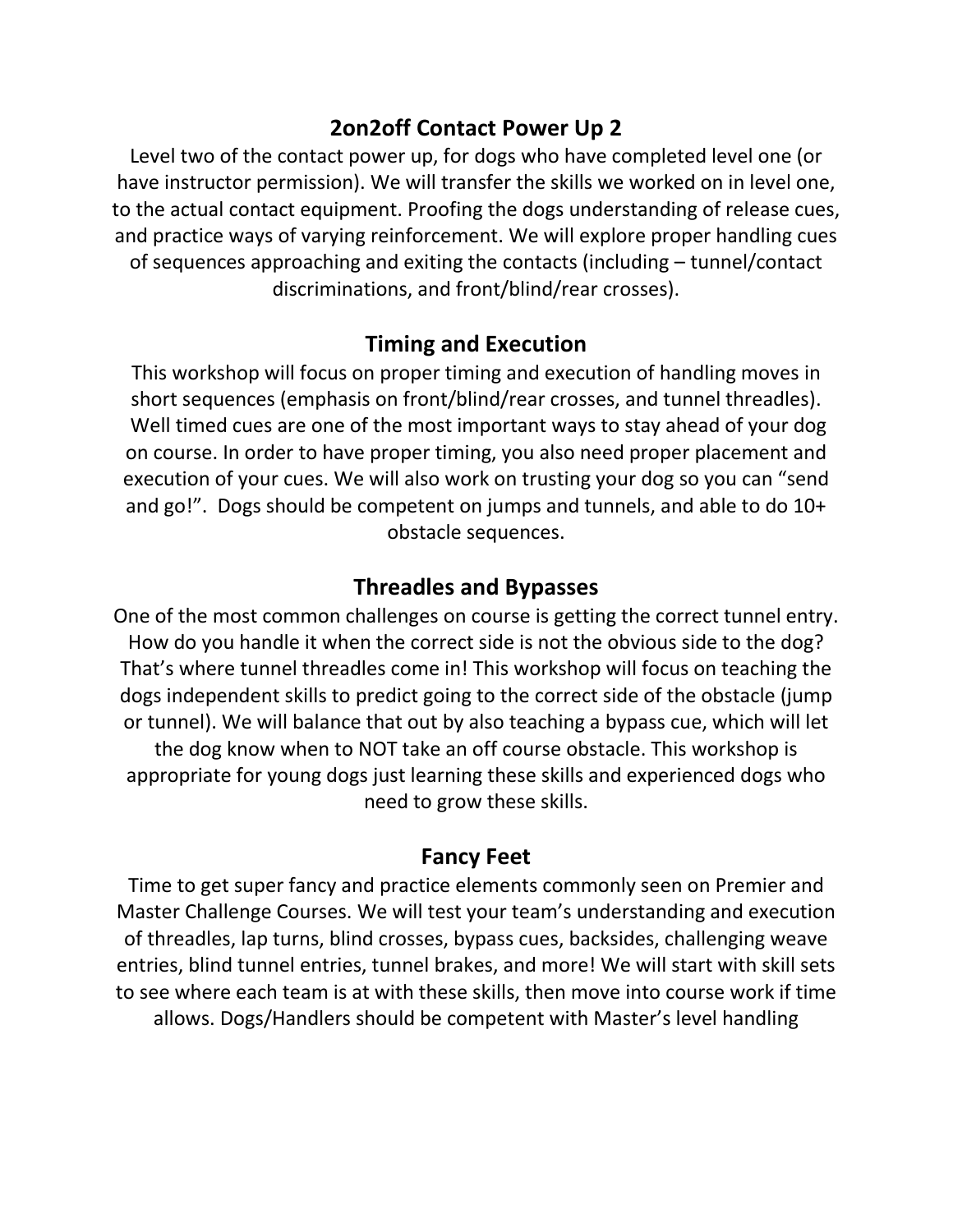### **2on2off Contact Power Up 2**

Level two of the contact power up, for dogs who have completed level one (or have instructor permission). We will transfer the skills we worked on in level one, to the actual contact equipment. Proofing the dogs understanding of release cues, and practice ways of varying reinforcement. We will explore proper handling cues of sequences approaching and exiting the contacts (including – tunnel/contact discriminations, and front/blind/rear crosses).

### **Timing and Execution**

This workshop will focus on proper timing and execution of handling moves in short sequences (emphasis on front/blind/rear crosses, and tunnel threadles). Well timed cues are one of the most important ways to stay ahead of your dog on course. In order to have proper timing, you also need proper placement and execution of your cues. We will also work on trusting your dog so you can "send and go!". Dogs should be competent on jumps and tunnels, and able to do 10+ obstacle sequences.

### **Threadles and Bypasses**

One of the most common challenges on course is getting the correct tunnel entry. How do you handle it when the correct side is not the obvious side to the dog? That's where tunnel threadles come in! This workshop will focus on teaching the dogs independent skills to predict going to the correct side of the obstacle (jump or tunnel). We will balance that out by also teaching a bypass cue, which will let the dog know when to NOT take an off course obstacle. This workshop is appropriate for young dogs just learning these skills and experienced dogs who need to grow these skills.

### **Fancy Feet**

Time to get super fancy and practice elements commonly seen on Premier and Master Challenge Courses. We will test your team's understanding and execution of threadles, lap turns, blind crosses, bypass cues, backsides, challenging weave entries, blind tunnel entries, tunnel brakes, and more! We will start with skill sets to see where each team is at with these skills, then move into course work if time allows. Dogs/Handlers should be competent with Master's level handling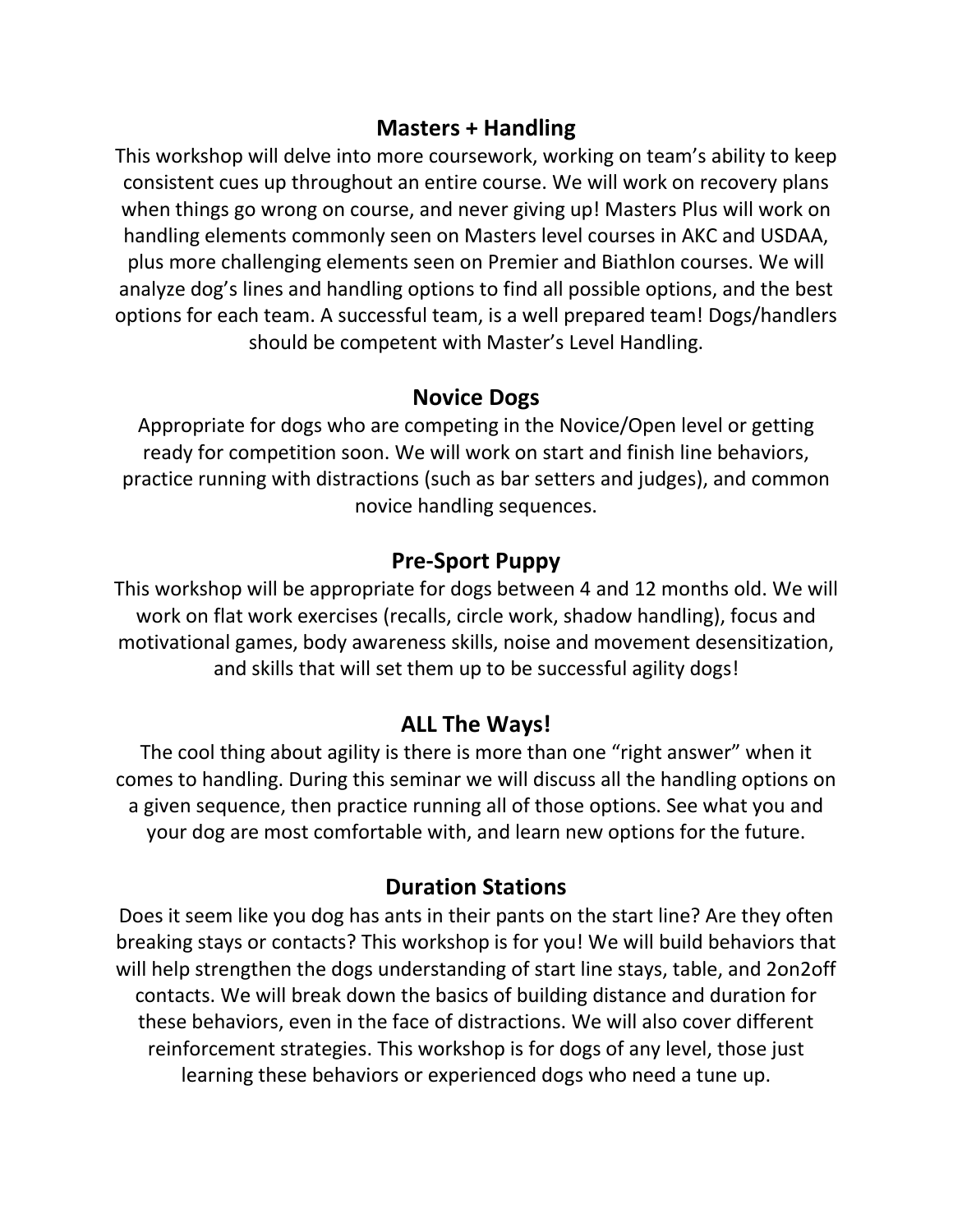### **Masters + Handling**

This workshop will delve into more coursework, working on team's ability to keep consistent cues up throughout an entire course. We will work on recovery plans when things go wrong on course, and never giving up! Masters Plus will work on handling elements commonly seen on Masters level courses in AKC and USDAA, plus more challenging elements seen on Premier and Biathlon courses. We will analyze dog's lines and handling options to find all possible options, and the best options for each team. A successful team, is a well prepared team! Dogs/handlers should be competent with Master's Level Handling.

#### **Novice Dogs**

Appropriate for dogs who are competing in the Novice/Open level or getting ready for competition soon. We will work on start and finish line behaviors, practice running with distractions (such as bar setters and judges), and common novice handling sequences.

#### **Pre-Sport Puppy**

This workshop will be appropriate for dogs between 4 and 12 months old. We will work on flat work exercises (recalls, circle work, shadow handling), focus and motivational games, body awareness skills, noise and movement desensitization, and skills that will set them up to be successful agility dogs!

### **ALL The Ways!**

The cool thing about agility is there is more than one "right answer" when it comes to handling. During this seminar we will discuss all the handling options on a given sequence, then practice running all of those options. See what you and your dog are most comfortable with, and learn new options for the future.

#### **Duration Stations**

Does it seem like you dog has ants in their pants on the start line? Are they often breaking stays or contacts? This workshop is for you! We will build behaviors that will help strengthen the dogs understanding of start line stays, table, and 2on2off contacts. We will break down the basics of building distance and duration for these behaviors, even in the face of distractions. We will also cover different reinforcement strategies. This workshop is for dogs of any level, those just learning these behaviors or experienced dogs who need a tune up.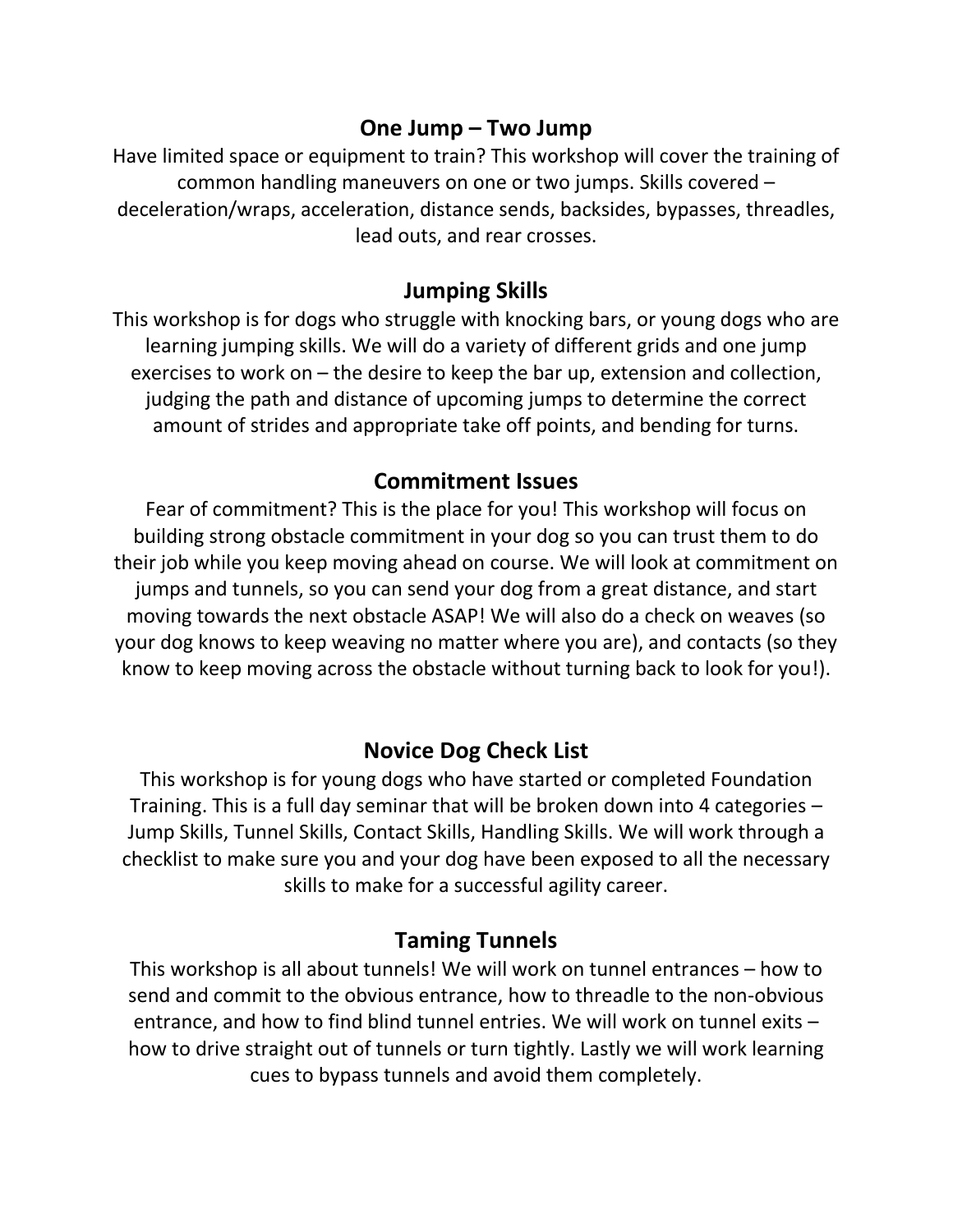### **One Jump – Two Jump**

Have limited space or equipment to train? This workshop will cover the training of common handling maneuvers on one or two jumps. Skills covered – deceleration/wraps, acceleration, distance sends, backsides, bypasses, threadles, lead outs, and rear crosses.

### **Jumping Skills**

This workshop is for dogs who struggle with knocking bars, or young dogs who are learning jumping skills. We will do a variety of different grids and one jump exercises to work on – the desire to keep the bar up, extension and collection, judging the path and distance of upcoming jumps to determine the correct amount of strides and appropriate take off points, and bending for turns.

### **Commitment Issues**

Fear of commitment? This is the place for you! This workshop will focus on building strong obstacle commitment in your dog so you can trust them to do their job while you keep moving ahead on course. We will look at commitment on jumps and tunnels, so you can send your dog from a great distance, and start moving towards the next obstacle ASAP! We will also do a check on weaves (so your dog knows to keep weaving no matter where you are), and contacts (so they know to keep moving across the obstacle without turning back to look for you!).

## **Novice Dog Check List**

This workshop is for young dogs who have started or completed Foundation Training. This is a full day seminar that will be broken down into 4 categories – Jump Skills, Tunnel Skills, Contact Skills, Handling Skills. We will work through a checklist to make sure you and your dog have been exposed to all the necessary skills to make for a successful agility career.

### **Taming Tunnels**

This workshop is all about tunnels! We will work on tunnel entrances – how to send and commit to the obvious entrance, how to threadle to the non-obvious entrance, and how to find blind tunnel entries. We will work on tunnel exits – how to drive straight out of tunnels or turn tightly. Lastly we will work learning cues to bypass tunnels and avoid them completely.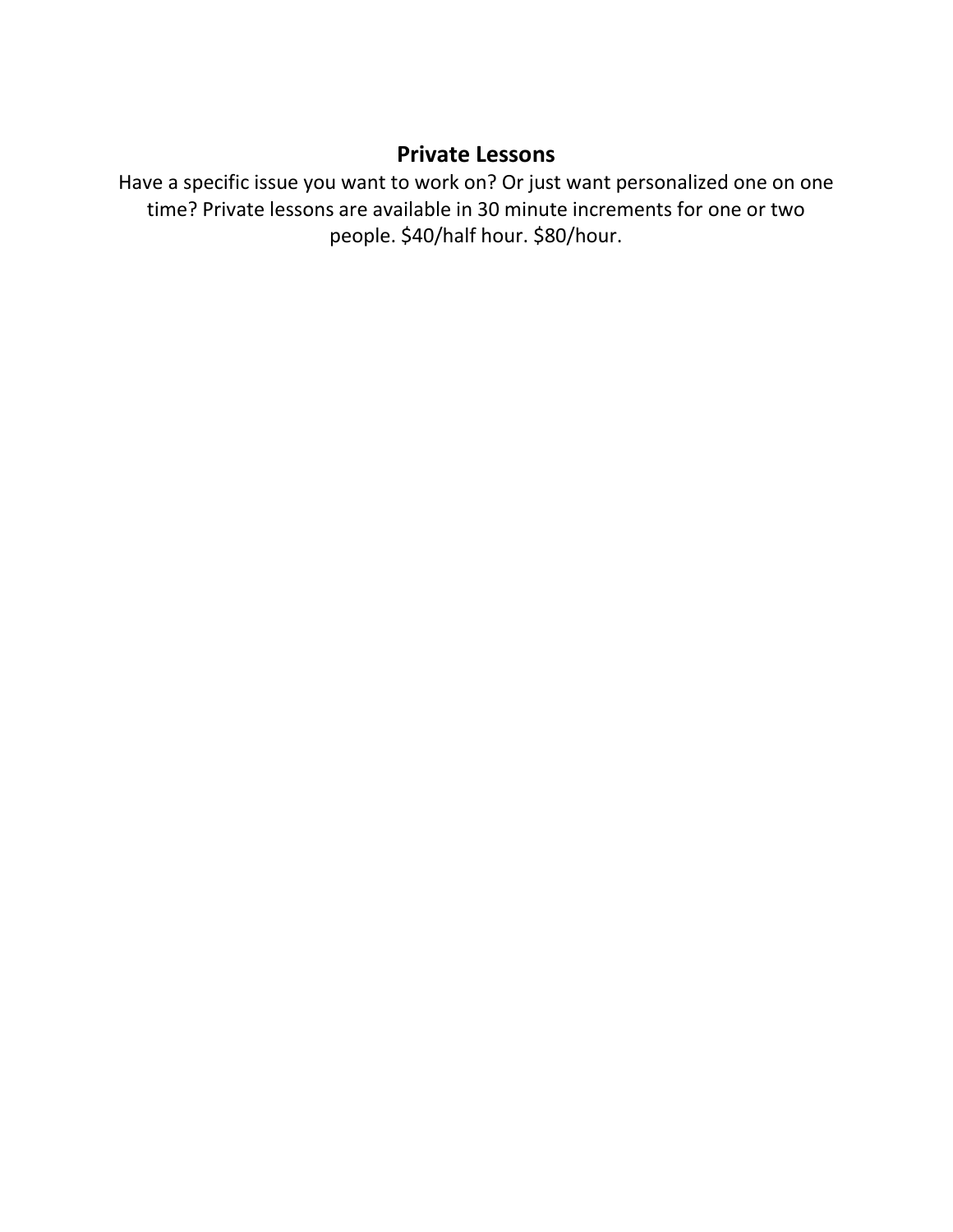## **Private Lessons**

Have a specific issue you want to work on? Or just want personalized one on one time? Private lessons are available in 30 minute increments for one or two people. \$40/half hour. \$80/hour.